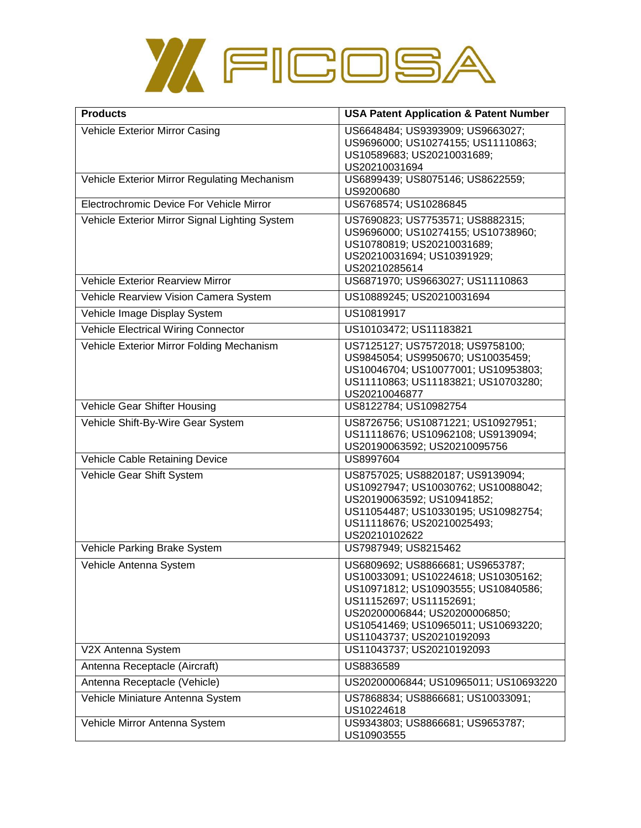

| <b>Products</b>                                | <b>USA Patent Application &amp; Patent Number</b>                                                                                                                                                                                              |
|------------------------------------------------|------------------------------------------------------------------------------------------------------------------------------------------------------------------------------------------------------------------------------------------------|
| Vehicle Exterior Mirror Casing                 | US6648484; US9393909; US9663027;<br>US9696000; US10274155; US11110863;<br>US10589683; US20210031689;<br>US20210031694                                                                                                                          |
| Vehicle Exterior Mirror Regulating Mechanism   | US6899439; US8075146; US8622559;<br>US9200680                                                                                                                                                                                                  |
| Electrochromic Device For Vehicle Mirror       | US6768574; US10286845                                                                                                                                                                                                                          |
| Vehicle Exterior Mirror Signal Lighting System | US7690823; US7753571; US8882315;<br>US9696000; US10274155; US10738960;<br>US10780819; US20210031689;<br>US20210031694; US10391929;<br>US20210285614                                                                                            |
| Vehicle Exterior Rearview Mirror               | US6871970; US9663027; US11110863                                                                                                                                                                                                               |
| Vehicle Rearview Vision Camera System          | US10889245; US20210031694                                                                                                                                                                                                                      |
| Vehicle Image Display System                   | US10819917                                                                                                                                                                                                                                     |
| <b>Vehicle Electrical Wiring Connector</b>     | US10103472; US11183821                                                                                                                                                                                                                         |
| Vehicle Exterior Mirror Folding Mechanism      | US7125127; US7572018; US9758100;<br>US9845054; US9950670; US10035459;<br>US10046704; US10077001; US10953803;<br>US11110863; US11183821; US10703280;<br>US20210046877                                                                           |
| Vehicle Gear Shifter Housing                   | US8122784; US10982754                                                                                                                                                                                                                          |
| Vehicle Shift-By-Wire Gear System              | US8726756; US10871221; US10927951;<br>US11118676; US10962108; US9139094;<br>US20190063592; US20210095756                                                                                                                                       |
| Vehicle Cable Retaining Device                 | US8997604                                                                                                                                                                                                                                      |
| Vehicle Gear Shift System                      | US8757025; US8820187; US9139094;<br>US10927947; US10030762; US10088042;<br>US20190063592; US10941852;<br>US11054487; US10330195; US10982754;<br>US11118676; US20210025493;<br>US20210102622                                                    |
| Vehicle Parking Brake System                   | US7987949; US8215462                                                                                                                                                                                                                           |
| Vehicle Antenna System                         | US6809692; US8866681; US9653787;<br>US10033091; US10224618; US10305162;<br>US10971812; US10903555; US10840586;<br>US11152697; US11152691;<br>US20200006844; US20200006850;<br>US10541469; US10965011; US10693220;<br>US11043737; US20210192093 |
| V2X Antenna System                             | US11043737; US20210192093                                                                                                                                                                                                                      |
| Antenna Receptacle (Aircraft)                  | US8836589                                                                                                                                                                                                                                      |
| Antenna Receptacle (Vehicle)                   | US20200006844; US10965011; US10693220                                                                                                                                                                                                          |
| Vehicle Miniature Antenna System               | US7868834; US8866681; US10033091;<br>US10224618                                                                                                                                                                                                |
| Vehicle Mirror Antenna System                  | US9343803; US8866681; US9653787;<br>US10903555                                                                                                                                                                                                 |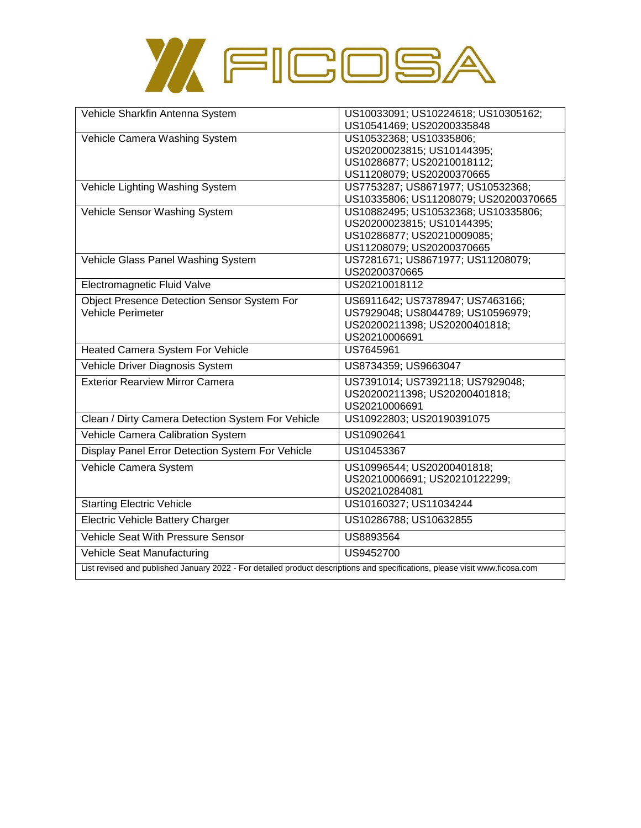

| Vehicle Sharkfin Antenna System                                                                                             | US10033091; US10224618; US10305162;   |
|-----------------------------------------------------------------------------------------------------------------------------|---------------------------------------|
|                                                                                                                             | US10541469; US20200335848             |
| Vehicle Camera Washing System                                                                                               | US10532368; US10335806;               |
|                                                                                                                             | US20200023815; US10144395;            |
|                                                                                                                             | US10286877; US20210018112;            |
|                                                                                                                             | US11208079; US20200370665             |
| Vehicle Lighting Washing System                                                                                             | US7753287; US8671977; US10532368;     |
|                                                                                                                             | US10335806; US11208079; US20200370665 |
| Vehicle Sensor Washing System                                                                                               | US10882495; US10532368; US10335806;   |
|                                                                                                                             | US20200023815; US10144395;            |
|                                                                                                                             | US10286877; US20210009085;            |
|                                                                                                                             | US11208079; US20200370665             |
| Vehicle Glass Panel Washing System                                                                                          | US7281671; US8671977; US11208079;     |
|                                                                                                                             | US20200370665                         |
| Electromagnetic Fluid Valve                                                                                                 | US20210018112                         |
| Object Presence Detection Sensor System For                                                                                 | US6911642; US7378947; US7463166;      |
| <b>Vehicle Perimeter</b>                                                                                                    | US7929048; US8044789; US10596979;     |
|                                                                                                                             | US20200211398; US20200401818;         |
|                                                                                                                             | US20210006691                         |
| Heated Camera System For Vehicle                                                                                            | US7645961                             |
| Vehicle Driver Diagnosis System                                                                                             | US8734359; US9663047                  |
| <b>Exterior Rearview Mirror Camera</b>                                                                                      | US7391014; US7392118; US7929048;      |
|                                                                                                                             | US20200211398; US20200401818;         |
|                                                                                                                             | US20210006691                         |
| Clean / Dirty Camera Detection System For Vehicle                                                                           | US10922803; US20190391075             |
| Vehicle Camera Calibration System                                                                                           | US10902641                            |
| Display Panel Error Detection System For Vehicle                                                                            | US10453367                            |
| Vehicle Camera System                                                                                                       | US10996544; US20200401818;            |
|                                                                                                                             | US20210006691; US20210122299;         |
|                                                                                                                             | US20210284081                         |
| <b>Starting Electric Vehicle</b>                                                                                            | US10160327; US11034244                |
| Electric Vehicle Battery Charger                                                                                            | US10286788; US10632855                |
| Vehicle Seat With Pressure Sensor                                                                                           | US8893564                             |
| Vehicle Seat Manufacturing                                                                                                  | US9452700                             |
| List revised and published January 2022 - For detailed product descriptions and specifications, please visit www.ficosa.com |                                       |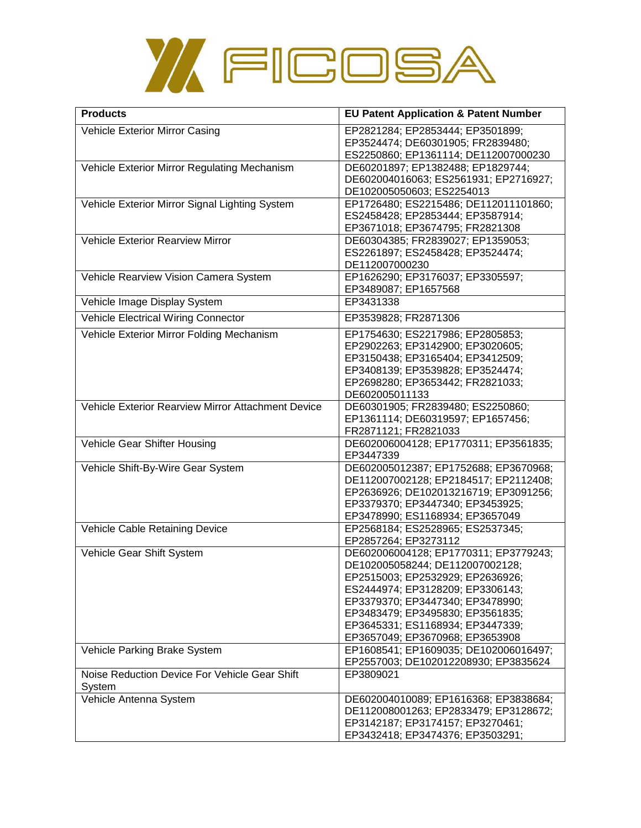

| <b>Products</b>                                         | <b>EU Patent Application &amp; Patent Number</b>                                                                                                                                                                                                                                                |
|---------------------------------------------------------|-------------------------------------------------------------------------------------------------------------------------------------------------------------------------------------------------------------------------------------------------------------------------------------------------|
| Vehicle Exterior Mirror Casing                          | EP2821284; EP2853444; EP3501899;<br>EP3524474; DE60301905; FR2839480;<br>ES2250860; EP1361114; DE112007000230                                                                                                                                                                                   |
| Vehicle Exterior Mirror Regulating Mechanism            | DE60201897; EP1382488; EP1829744;<br>DE602004016063; ES2561931; EP2716927;<br>DE102005050603; ES2254013                                                                                                                                                                                         |
| Vehicle Exterior Mirror Signal Lighting System          | EP1726480; ES2215486; DE112011101860;<br>ES2458428; EP2853444; EP3587914;<br>EP3671018; EP3674795; FR2821308                                                                                                                                                                                    |
| Vehicle Exterior Rearview Mirror                        | DE60304385; FR2839027; EP1359053;<br>ES2261897; ES2458428; EP3524474;<br>DE112007000230                                                                                                                                                                                                         |
| Vehicle Rearview Vision Camera System                   | EP1626290; EP3176037; EP3305597;<br>EP3489087; EP1657568                                                                                                                                                                                                                                        |
| Vehicle Image Display System                            | EP3431338                                                                                                                                                                                                                                                                                       |
| <b>Vehicle Electrical Wiring Connector</b>              | EP3539828; FR2871306                                                                                                                                                                                                                                                                            |
| Vehicle Exterior Mirror Folding Mechanism               | EP1754630; ES2217986; EP2805853;<br>EP2902263; EP3142900; EP3020605;<br>EP3150438; EP3165404; EP3412509;<br>EP3408139; EP3539828; EP3524474;<br>EP2698280; EP3653442; FR2821033;<br>DE602005011133                                                                                              |
| Vehicle Exterior Rearview Mirror Attachment Device      | DE60301905; FR2839480; ES2250860;<br>EP1361114; DE60319597; EP1657456;<br>FR2871121; FR2821033                                                                                                                                                                                                  |
| Vehicle Gear Shifter Housing                            | DE602006004128; EP1770311; EP3561835;<br>EP3447339                                                                                                                                                                                                                                              |
| Vehicle Shift-By-Wire Gear System                       | DE602005012387; EP1752688; EP3670968;<br>DE112007002128; EP2184517; EP2112408;<br>EP2636926; DE102013216719; EP3091256;<br>EP3379370; EP3447340; EP3453925;<br>EP3478990; ES1168934; EP3657049                                                                                                  |
| Vehicle Cable Retaining Device                          | EP2568184; ES2528965; ES2537345;<br>EP2857264; EP3273112                                                                                                                                                                                                                                        |
| Vehicle Gear Shift System                               | DE602006004128; EP1770311; EP3779243;<br>DE102005058244; DE112007002128;<br>EP2515003; EP2532929; EP2636926;<br>ES2444974; EP3128209; EP3306143;<br>EP3379370; EP3447340; EP3478990;<br>EP3483479; EP3495830; EP3561835;<br>EP3645331; ES1168934; EP3447339;<br>EP3657049; EP3670968; EP3653908 |
| Vehicle Parking Brake System                            | EP1608541; EP1609035; DE102006016497;<br>EP2557003; DE102012208930; EP3835624                                                                                                                                                                                                                   |
| Noise Reduction Device For Vehicle Gear Shift<br>System | EP3809021                                                                                                                                                                                                                                                                                       |
| Vehicle Antenna System                                  | DE602004010089; EP1616368; EP3838684;<br>DE112008001263; EP2833479; EP3128672;<br>EP3142187; EP3174157; EP3270461;<br>EP3432418; EP3474376; EP3503291;                                                                                                                                          |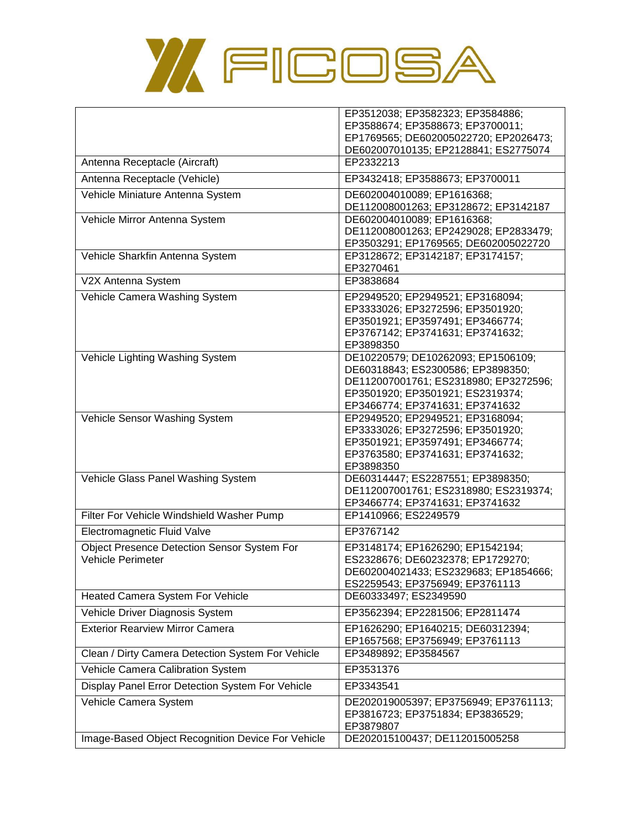

| Antenna Receptacle (Aircraft)                                                  | EP3512038; EP3582323; EP3584886;<br>EP3588674; EP3588673; EP3700011;<br>EP1769565; DE602005022720; EP2026473;<br>DE602007010135; EP2128841; ES2775074<br>EP2332213                      |
|--------------------------------------------------------------------------------|-----------------------------------------------------------------------------------------------------------------------------------------------------------------------------------------|
| Antenna Receptacle (Vehicle)                                                   | EP3432418; EP3588673; EP3700011                                                                                                                                                         |
|                                                                                |                                                                                                                                                                                         |
| Vehicle Miniature Antenna System                                               | DE602004010089; EP1616368;<br>DE112008001263; EP3128672; EP3142187                                                                                                                      |
| Vehicle Mirror Antenna System                                                  | DE602004010089; EP1616368;<br>DE112008001263; EP2429028; EP2833479;<br>EP3503291; EP1769565; DE602005022720                                                                             |
| Vehicle Sharkfin Antenna System                                                | EP3128672; EP3142187; EP3174157;<br>EP3270461                                                                                                                                           |
| V2X Antenna System                                                             | EP3838684                                                                                                                                                                               |
| Vehicle Camera Washing System                                                  | EP2949520; EP2949521; EP3168094;<br>EP3333026; EP3272596; EP3501920;<br>EP3501921; EP3597491; EP3466774;<br>EP3767142; EP3741631; EP3741632;<br>EP3898350                               |
| Vehicle Lighting Washing System                                                | DE10220579; DE10262093; EP1506109;<br>DE60318843; ES2300586; EP3898350;<br>DE112007001761; ES2318980; EP3272596;<br>EP3501920; EP3501921; ES2319374;<br>EP3466774; EP3741631; EP3741632 |
| Vehicle Sensor Washing System                                                  | EP2949520; EP2949521; EP3168094;<br>EP3333026; EP3272596; EP3501920;<br>EP3501921; EP3597491; EP3466774;<br>EP3763580; EP3741631; EP3741632;<br>EP3898350                               |
| Vehicle Glass Panel Washing System                                             | DE60314447; ES2287551; EP3898350;<br>DE112007001761; ES2318980; ES2319374;<br>EP3466774; EP3741631; EP3741632                                                                           |
| Filter For Vehicle Windshield Washer Pump                                      | EP1410966; ES2249579                                                                                                                                                                    |
| Electromagnetic Fluid Valve                                                    | EP3767142                                                                                                                                                                               |
| <b>Object Presence Detection Sensor System For</b><br><b>Vehicle Perimeter</b> | EP3148174; EP1626290; EP1542194;<br>ES2328676; DE60232378; EP1729270;<br>DE602004021433; ES2329683; EP1854666;<br>ES2259543; EP3756949; EP3761113                                       |
| Heated Camera System For Vehicle                                               | DE60333497; ES2349590                                                                                                                                                                   |
| Vehicle Driver Diagnosis System                                                | EP3562394; EP2281506; EP2811474                                                                                                                                                         |
| <b>Exterior Rearview Mirror Camera</b>                                         | EP1626290; EP1640215; DE60312394;<br>EP1657568; EP3756949; EP3761113                                                                                                                    |
| Clean / Dirty Camera Detection System For Vehicle                              | EP3489892; EP3584567                                                                                                                                                                    |
| Vehicle Camera Calibration System                                              | EP3531376                                                                                                                                                                               |
| Display Panel Error Detection System For Vehicle                               | EP3343541                                                                                                                                                                               |
| Vehicle Camera System                                                          | DE202019005397; EP3756949; EP3761113;<br>EP3816723; EP3751834; EP3836529;<br>EP3879807                                                                                                  |
| Image-Based Object Recognition Device For Vehicle                              | DE202015100437; DE112015005258                                                                                                                                                          |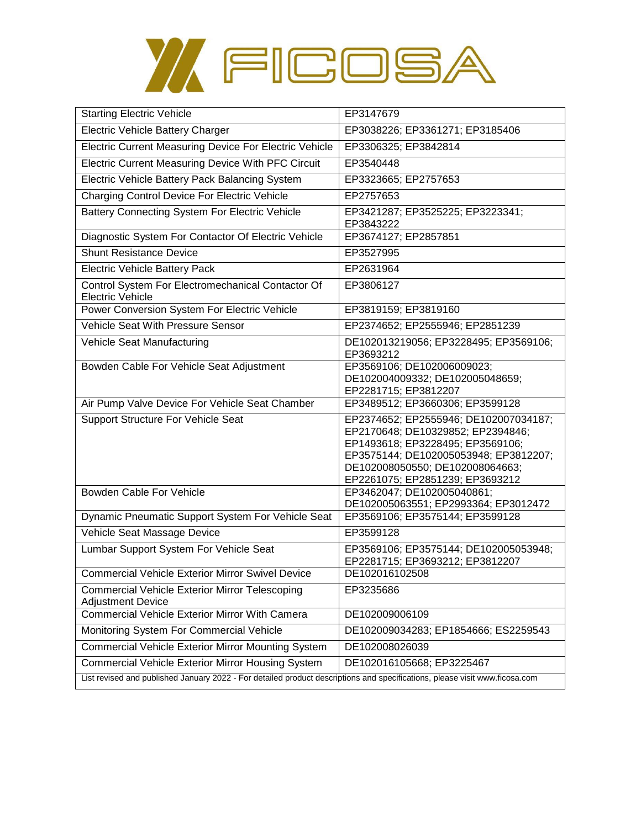

| <b>Starting Electric Vehicle</b>                                                  | EP3147679                                                                                                                                                                            |
|-----------------------------------------------------------------------------------|--------------------------------------------------------------------------------------------------------------------------------------------------------------------------------------|
| Electric Vehicle Battery Charger                                                  | EP3038226; EP3361271; EP3185406                                                                                                                                                      |
| Electric Current Measuring Device For Electric Vehicle                            | EP3306325; EP3842814                                                                                                                                                                 |
| Electric Current Measuring Device With PFC Circuit                                | EP3540448                                                                                                                                                                            |
| Electric Vehicle Battery Pack Balancing System                                    | EP3323665; EP2757653                                                                                                                                                                 |
| Charging Control Device For Electric Vehicle                                      | EP2757653                                                                                                                                                                            |
| Battery Connecting System For Electric Vehicle                                    | EP3421287; EP3525225; EP3223341;<br>EP3843222                                                                                                                                        |
| Diagnostic System For Contactor Of Electric Vehicle                               | EP3674127; EP2857851                                                                                                                                                                 |
| <b>Shunt Resistance Device</b>                                                    | EP3527995                                                                                                                                                                            |
| <b>Electric Vehicle Battery Pack</b>                                              | EP2631964                                                                                                                                                                            |
| Control System For Electromechanical Contactor Of<br><b>Electric Vehicle</b>      | EP3806127                                                                                                                                                                            |
| Power Conversion System For Electric Vehicle                                      | EP3819159; EP3819160                                                                                                                                                                 |
| <b>Vehicle Seat With Pressure Sensor</b>                                          | EP2374652; EP2555946; EP2851239                                                                                                                                                      |
| Vehicle Seat Manufacturing                                                        | DE102013219056; EP3228495; EP3569106;<br>EP3693212                                                                                                                                   |
| Bowden Cable For Vehicle Seat Adjustment                                          | EP3569106; DE102006009023;<br>DE102004009332; DE102005048659;<br>EP2281715; EP3812207                                                                                                |
| Air Pump Valve Device For Vehicle Seat Chamber                                    | EP3489512; EP3660306; EP3599128                                                                                                                                                      |
| <b>Support Structure For Vehicle Seat</b>                                         | EP2374652; EP2555946; DE102007034187;                                                                                                                                                |
|                                                                                   | EP2170648; DE10329852; EP2394846;<br>EP1493618; EP3228495; EP3569106;<br>EP3575144; DE102005053948; EP3812207;<br>DE102008050550; DE102008064663;<br>EP2261075; EP2851239; EP3693212 |
| Bowden Cable For Vehicle                                                          | EP3462047; DE102005040861;<br>DE102005063551; EP2993364; EP3012472                                                                                                                   |
| Dynamic Pneumatic Support System For Vehicle Seat                                 | EP3569106; EP3575144; EP3599128                                                                                                                                                      |
| Vehicle Seat Massage Device                                                       | EP3599128                                                                                                                                                                            |
| Lumbar Support System For Vehicle Seat                                            | EP3569106; EP3575144; DE102005053948;<br>EP2281715; EP3693212; EP3812207                                                                                                             |
| <b>Commercial Vehicle Exterior Mirror Swivel Device</b>                           | DE102016102508                                                                                                                                                                       |
| <b>Commercial Vehicle Exterior Mirror Telescoping</b><br><b>Adjustment Device</b> | EP3235686                                                                                                                                                                            |
| <b>Commercial Vehicle Exterior Mirror With Camera</b>                             | DE102009006109                                                                                                                                                                       |
| Monitoring System For Commercial Vehicle                                          | DE102009034283; EP1854666; ES2259543                                                                                                                                                 |
| <b>Commercial Vehicle Exterior Mirror Mounting System</b>                         | DE102008026039                                                                                                                                                                       |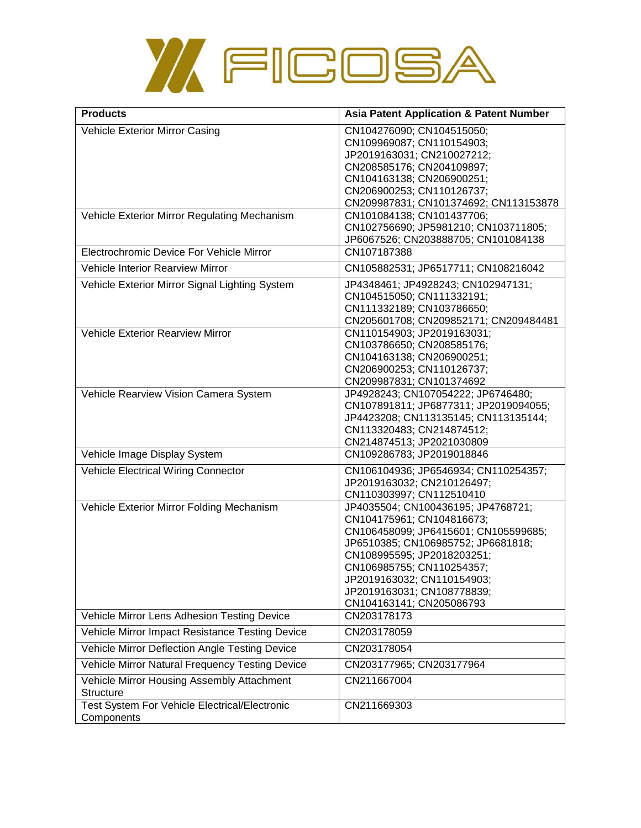

| <b>Products</b>                                                | <b>Asia Patent Application &amp; Patent Number</b>                                                                                                                                                                                                                                               |
|----------------------------------------------------------------|--------------------------------------------------------------------------------------------------------------------------------------------------------------------------------------------------------------------------------------------------------------------------------------------------|
| Vehicle Exterior Mirror Casing                                 | CN104276090; CN104515050;<br>CN109969087; CN110154903;<br>JP2019163031; CN210027212;<br>CN208585176; CN204109897;<br>CN104163138; CN206900251;<br>CN206900253; CN110126737;<br>CN209987831; CN101374692; CN113153878                                                                             |
| Vehicle Exterior Mirror Regulating Mechanism                   | CN101084138; CN101437706;<br>CN102756690; JP5981210; CN103711805;<br>JP6067526; CN203888705; CN101084138                                                                                                                                                                                         |
| Electrochromic Device For Vehicle Mirror                       | CN107187388                                                                                                                                                                                                                                                                                      |
| Vehicle Interior Rearview Mirror                               | CN105882531; JP6517711; CN108216042                                                                                                                                                                                                                                                              |
| Vehicle Exterior Mirror Signal Lighting System                 | JP4348461; JP4928243; CN102947131;<br>CN104515050; CN111332191;<br>CN111332189; CN103786650;<br>CN205601708; CN209852171; CN209484481                                                                                                                                                            |
| <b>Vehicle Exterior Rearview Mirror</b>                        | CN110154903; JP2019163031;<br>CN103786650; CN208585176;<br>CN104163138; CN206900251;<br>CN206900253; CN110126737;<br>CN209987831; CN101374692                                                                                                                                                    |
| Vehicle Rearview Vision Camera System                          | JP4928243; CN107054222; JP6746480;<br>CN107891811; JP6877311; JP2019094055;<br>JP4423208; CN113135145; CN113135144;<br>CN113320483; CN214874512;<br>CN214874513; JP2021030809                                                                                                                    |
| Vehicle Image Display System                                   | CN109286783; JP2019018846                                                                                                                                                                                                                                                                        |
| <b>Vehicle Electrical Wiring Connector</b>                     | CN106104936; JP6546934; CN110254357;<br>JP2019163032; CN210126497;<br>CN110303997; CN112510410                                                                                                                                                                                                   |
| Vehicle Exterior Mirror Folding Mechanism                      | JP4035504; CN100436195; JP4768721;<br>CN104175961; CN104816673;<br>CN106458099; JP6415601; CN105599685;<br>JP6510385; CN106985752; JP6681818;<br>CN108995595; JP2018203251;<br>CN106985755; CN110254357;<br>JP2019163032; CN110154903;<br>JP2019163031; CN108778839;<br>CN104163141; CN205086793 |
| Vehicle Mirror Lens Adhesion Testing Device                    | CN203178173                                                                                                                                                                                                                                                                                      |
| Vehicle Mirror Impact Resistance Testing Device                | CN203178059                                                                                                                                                                                                                                                                                      |
| Vehicle Mirror Deflection Angle Testing Device                 | CN203178054                                                                                                                                                                                                                                                                                      |
| Vehicle Mirror Natural Frequency Testing Device                | CN203177965; CN203177964                                                                                                                                                                                                                                                                         |
| Vehicle Mirror Housing Assembly Attachment<br><b>Structure</b> | CN211667004                                                                                                                                                                                                                                                                                      |
| Test System For Vehicle Electrical/Electronic<br>Components    | CN211669303                                                                                                                                                                                                                                                                                      |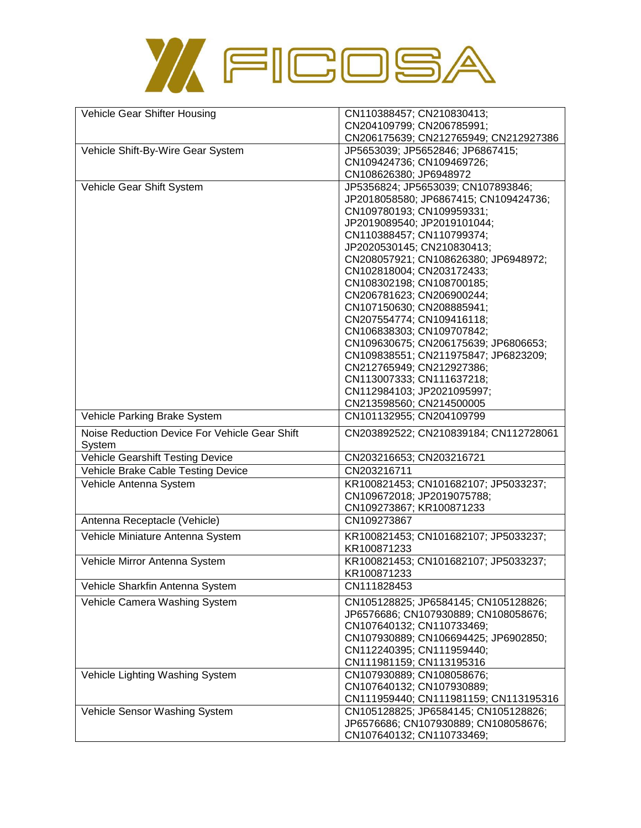

| Vehicle Gear Shifter Housing                  | CN110388457; CN210830413;                                         |
|-----------------------------------------------|-------------------------------------------------------------------|
|                                               | CN204109799; CN206785991;                                         |
|                                               | CN206175639; CN212765949; CN212927386                             |
| Vehicle Shift-By-Wire Gear System             | JP5653039; JP5652846; JP6867415;                                  |
|                                               | CN109424736; CN109469726;                                         |
|                                               | CN108626380; JP6948972                                            |
| Vehicle Gear Shift System                     | JP5356824; JP5653039; CN107893846;                                |
|                                               | JP2018058580; JP6867415; CN109424736;                             |
|                                               | CN109780193; CN109959331;                                         |
|                                               | JP2019089540; JP2019101044;                                       |
|                                               | CN110388457; CN110799374;                                         |
|                                               | JP2020530145; CN210830413;                                        |
|                                               | CN208057921; CN108626380; JP6948972;                              |
|                                               | CN102818004; CN203172433;                                         |
|                                               | CN108302198; CN108700185;                                         |
|                                               | CN206781623; CN206900244;                                         |
|                                               | CN107150630; CN208885941;                                         |
|                                               | CN207554774; CN109416118;                                         |
|                                               | CN106838303; CN109707842;                                         |
|                                               | CN109630675; CN206175639; JP6806653;                              |
|                                               |                                                                   |
|                                               | CN109838551; CN211975847; JP6823209;<br>CN212765949; CN212927386; |
|                                               |                                                                   |
|                                               | CN113007333; CN111637218;                                         |
|                                               | CN112984103; JP2021095997;                                        |
|                                               | CN213598560; CN214500005                                          |
| Vehicle Parking Brake System                  | CN101132955; CN204109799                                          |
| Noise Reduction Device For Vehicle Gear Shift | CN203892522; CN210839184; CN112728061                             |
| System                                        |                                                                   |
| Vehicle Gearshift Testing Device              | CN203216653; CN203216721                                          |
| Vehicle Brake Cable Testing Device            | CN203216711                                                       |
| Vehicle Antenna System                        | KR100821453; CN101682107; JP5033237;                              |
|                                               | CN109672018; JP2019075788;                                        |
|                                               | CN109273867; KR100871233                                          |
| Antenna Receptacle (Vehicle)                  | CN109273867                                                       |
|                                               |                                                                   |
|                                               |                                                                   |
| Vehicle Miniature Antenna System              | KR100821453; CN101682107; JP5033237;                              |
|                                               | KR100871233                                                       |
| Vehicle Mirror Antenna System                 | KR100821453; CN101682107; JP5033237;                              |
|                                               | KR100871233                                                       |
| Vehicle Sharkfin Antenna System               | CN111828453                                                       |
| Vehicle Camera Washing System                 | CN105128825; JP6584145; CN105128826;                              |
|                                               | JP6576686; CN107930889; CN108058676;                              |
|                                               | CN107640132; CN110733469;                                         |
|                                               | CN107930889; CN106694425; JP6902850;                              |
|                                               | CN112240395; CN111959440;                                         |
|                                               | CN111981159; CN113195316                                          |
| Vehicle Lighting Washing System               | CN107930889; CN108058676;                                         |
|                                               | CN107640132; CN107930889;                                         |
|                                               | CN111959440; CN111981159; CN113195316                             |
| Vehicle Sensor Washing System                 | CN105128825; JP6584145; CN105128826;                              |
|                                               | JP6576686; CN107930889; CN108058676;<br>CN107640132; CN110733469; |